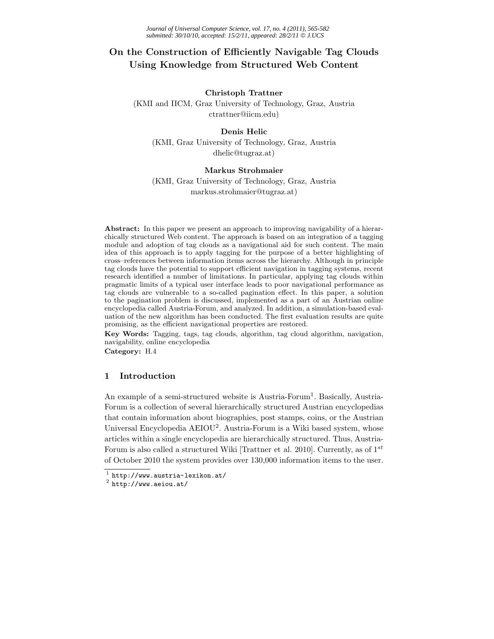# **On the Construction of Efficiently Navigable Tag Clouds Using Knowledge from Structured Web Content**

#### **Christoph Trattner**

(KMI and IICM, Graz University of Technology, Graz, Austria ctrattner@iicm.edu)

# **Denis Helic**

(KMI, Graz University of Technology, Graz, Austria dhelic@tugraz.at)

#### **Markus Strohmaier**

(KMI, Graz University of Technology, Graz, Austria markus.strohmaier@tugraz.at)

**Abstract:** In this paper we present an approach to improving navigability of a hierarchically structured Web content. The approach is based on an integration of a tagging module and adoption of tag clouds as a navigational aid for such content. The main idea of this approach is to apply tagging for the purpose of a better highlighting of cross–references between information items across the hierarchy. Although in principle tag clouds have the potential to support efficient navigation in tagging systems, recent research identified a number of limitations. In particular, applying tag clouds within pragmatic limits of a typical user interface leads to poor navigational performance as tag clouds are vulnerable to a so-called pagination effect. In this paper, a solution to the pagination problem is discussed, implemented as a part of an Austrian online encyclopedia called Austria-Forum, and analyzed. In addition, a simulation-based evaluation of the new algorithm has been conducted. The first evaluation results are quite promising, as the efficient navigational properties are restored.

**Key Words:** Tagging, tags, tag clouds, algorithm, tag cloud algorithm, navigation, navigability, online encyclopedia

**Category:** H.4

#### **1 Introduction**

An example of a semi-structured website is  $A$ ustria-Forum<sup>1</sup>. Basically, Austria-Forum is a collection of several hierarchically structured Austrian encyclopedias that contain information about biographies, post stamps, coins, or the Austrian Universal Encyclopedia AEIOU<sup>2</sup>. Austria-Forum is a Wiki based system, whose articles within a single encyclopedia are hierarchically structured. Thus, Austria-Forum is also called a structured Wiki [Trattner et al. 2010]. Currently, as of 1*st* of October 2010 the system provides over 130,000 information items to the user.

 $\frac{1}{2}$  http://www.austria-lexikon.at/<br> $\frac{2}{2}$  http://www.aeiou.at/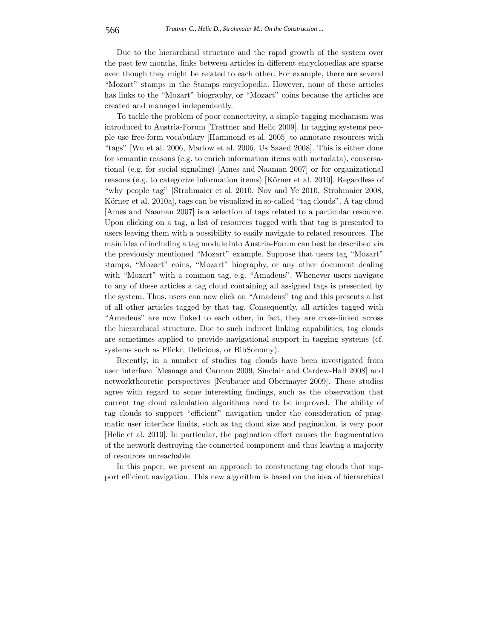Due to the hierarchical structure and the rapid growth of the system over the past few months, links between articles in different encyclopedias are sparse even though they might be related to each other. For example, there are several "Mozart" stamps in the Stamps encyclopedia. However, none of these articles has links to the "Mozart" biography, or "Mozart" coins because the articles are created and managed independently.

To tackle the problem of poor connectivity, a simple tagging mechanism was introduced to Austria-Forum [Trattner and Helic 2009]. In tagging systems people use free-form vocabulary [Hammond et al. 2005] to annotate resources with "tags" [Wu et al. 2006, Marlow et al. 2006, Us Saaed 2008]. This is either done for semantic reasons (e.g. to enrich information items with metadata), conversational (e.g. for social signaling) [Ames and Naaman 2007] or for organizational reasons (e.g. to categorize information items) [Körner et al. 2010]. Regardless of "why people tag" [Strohmaier et al. 2010, Nov and Ye 2010, Strohmaier 2008, Körner et al. 2010a, tags can be visualized in so-called "tag clouds". A tag cloud [Ames and Naaman 2007] is a selection of tags related to a particular resource. Upon clicking on a tag, a list of resources tagged with that tag is presented to users leaving them with a possibility to easily navigate to related resources. The main idea of including a tag module into Austria-Forum can best be described via the previously mentioned "Mozart" example. Suppose that users tag "Mozart" stamps, "Mozart" coins, "Mozart" biography, or any other document dealing with "Mozart" with a common tag, e.g. "Amadeus". Whenever users navigate to any of these articles a tag cloud containing all assigned tags is presented by the system. Thus, users can now click on "Amadeus" tag and this presents a list of all other articles tagged by that tag. Consequently, all articles tagged with "Amadeus" are now linked to each other, in fact, they are cross-linked across the hierarchical structure. Due to such indirect linking capabilities, tag clouds are sometimes applied to provide navigational support in tagging systems (cf. systems such as Flickr, Delicious, or BibSonomy).

Recently, in a number of studies tag clouds have been investigated from user interface [Mesnage and Carman 2009, Sinclair and Cardew-Hall 2008] and networktheoretic perspectives [Neubauer and Obermayer 2009]. These studies agree with regard to some interesting findings, such as the observation that current tag cloud calculation algorithms need to be improved. The ability of tag clouds to support "efficient" navigation under the consideration of pragmatic user interface limits, such as tag cloud size and pagination, is very poor [Helic et al. 2010]. In particular, the pagination effect causes the fragmentation of the network destroying the connected component and thus leaving a majority of resources unreachable.

In this paper, we present an approach to constructing tag clouds that support efficient navigation. This new algorithm is based on the idea of hierarchical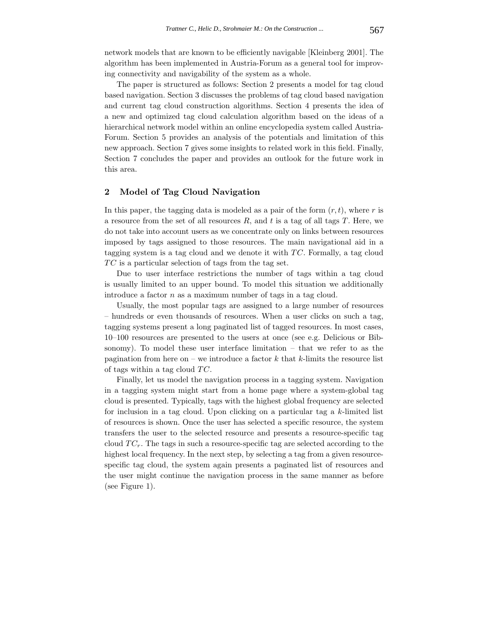network models that are known to be efficiently navigable [Kleinberg 2001]. The algorithm has been implemented in Austria-Forum as a general tool for improving connectivity and navigability of the system as a whole.

The paper is structured as follows: Section 2 presents a model for tag cloud based navigation. Section 3 discusses the problems of tag cloud based navigation and current tag cloud construction algorithms. Section 4 presents the idea of a new and optimized tag cloud calculation algorithm based on the ideas of a hierarchical network model within an online encyclopedia system called Austria-Forum. Section 5 provides an analysis of the potentials and limitation of this new approach. Section 7 gives some insights to related work in this field. Finally, Section 7 concludes the paper and provides an outlook for the future work in this area.

# **2 Model of Tag Cloud Navigation**

In this paper, the tagging data is modeled as a pair of the form (*r, t*), where *r* is a resource from the set of all resources *R*, and *t* is a tag of all tags *T*. Here, we do not take into account users as we concentrate only on links between resources imposed by tags assigned to those resources. The main navigational aid in a tagging system is a tag cloud and we denote it with *T C*. Formally, a tag cloud *T C* is a particular selection of tags from the tag set.

Due to user interface restrictions the number of tags within a tag cloud is usually limited to an upper bound. To model this situation we additionally introduce a factor *n* as a maximum number of tags in a tag cloud.

Usually, the most popular tags are assigned to a large number of resources – hundreds or even thousands of resources. When a user clicks on such a tag, tagging systems present a long paginated list of tagged resources. In most cases, 10–100 resources are presented to the users at once (see e.g. Delicious or Bibsonomy). To model these user interface limitation – that we refer to as the pagination from here on – we introduce a factor *k* that *k*-limits the resource list of tags within a tag cloud *T C*.

Finally, let us model the navigation process in a tagging system. Navigation in a tagging system might start from a home page where a system-global tag cloud is presented. Typically, tags with the highest global frequency are selected for inclusion in a tag cloud. Upon clicking on a particular tag a *k*-limited list of resources is shown. Once the user has selected a specific resource, the system transfers the user to the selected resource and presents a resource-specific tag cloud  $TC_r$ . The tags in such a resource-specific tag are selected according to the highest local frequency. In the next step, by selecting a tag from a given resourcespecific tag cloud, the system again presents a paginated list of resources and the user might continue the navigation process in the same manner as before (see Figure 1).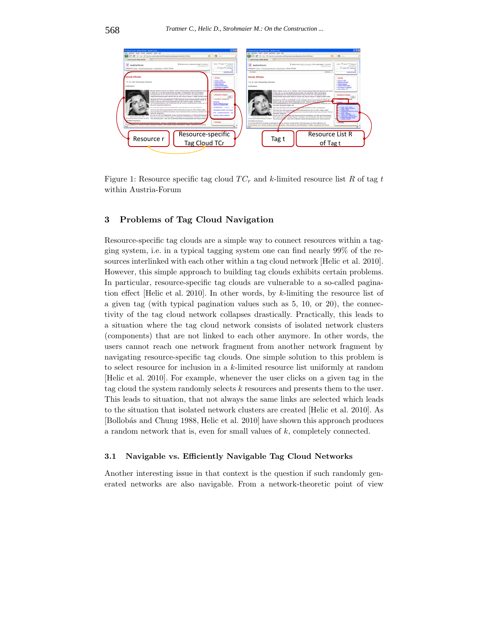

Figure 1: Resource specific tag cloud *T C<sup>r</sup>* and *k*-limited resource list *R* of tag *t* within Austria-Forum

# **3 Problems of Tag Cloud Navigation**

Resource-specific tag clouds are a simple way to connect resources within a tagging system, i.e. in a typical tagging system one can find nearly 99% of the resources interlinked with each other within a tag cloud network [Helic et al. 2010]. However, this simple approach to building tag clouds exhibits certain problems. In particular, resource-specific tag clouds are vulnerable to a so-called pagination effect [Helic et al. 2010]. In other words, by *k*-limiting the resource list of a given tag (with typical pagination values such as 5, 10, or 20), the connectivity of the tag cloud network collapses drastically. Practically, this leads to a situation where the tag cloud network consists of isolated network clusters (components) that are not linked to each other anymore. In other words, the users cannot reach one network fragment from another network fragment by navigating resource-specific tag clouds. One simple solution to this problem is to select resource for inclusion in a *k*-limited resource list uniformly at random [Helic et al. 2010]. For example, whenever the user clicks on a given tag in the tag cloud the system randomly selects *k* resources and presents them to the user. This leads to situation, that not always the same links are selected which leads to the situation that isolated network clusters are created [Helic et al. 2010]. As [Bollobás and Chung 1988, Helic et al. 2010] have shown this approach produces a random network that is, even for small values of *k*, completely connected.

#### **3.1 Navigable vs. Efficiently Navigable Tag Cloud Networks**

Another interesting issue in that context is the question if such randomly generated networks are also navigable. From a network-theoretic point of view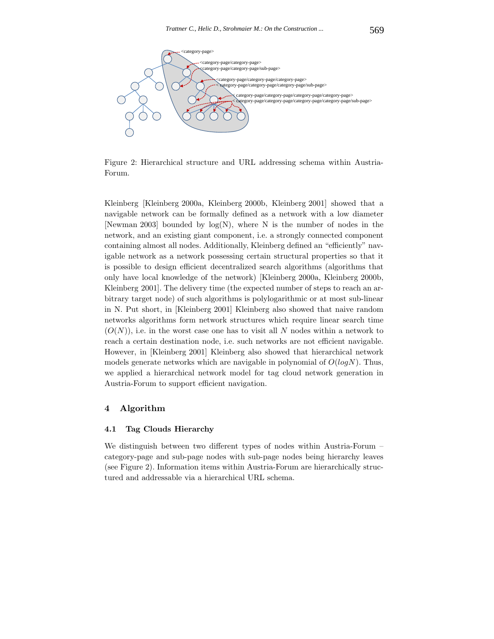

Figure 2: Hierarchical structure and URL addressing schema within Austria-Forum.

Kleinberg [Kleinberg 2000a, Kleinberg 2000b, Kleinberg 2001] showed that a navigable network can be formally defined as a network with a low diameter [Newman 2003] bounded by  $log(N)$ , where N is the number of nodes in the network, and an existing giant component, i.e. a strongly connected component containing almost all nodes. Additionally, Kleinberg defined an "efficiently" navigable network as a network possessing certain structural properties so that it is possible to design efficient decentralized search algorithms (algorithms that only have local knowledge of the network) [Kleinberg 2000a, Kleinberg 2000b, Kleinberg 2001]. The delivery time (the expected number of steps to reach an arbitrary target node) of such algorithms is polylogarithmic or at most sub-linear in N. Put short, in [Kleinberg 2001] Kleinberg also showed that naive random networks algorithms form network structures which require linear search time  $(O(N))$ , i.e. in the worst case one has to visit all N nodes within a network to reach a certain destination node, i.e. such networks are not efficient navigable. However, in [Kleinberg 2001] Kleinberg also showed that hierarchical network models generate networks which are navigable in polynomial of *O*(*logN*). Thus, we applied a hierarchical network model for tag cloud network generation in Austria-Forum to support efficient navigation.

#### **4 Algorithm**

#### **4.1 Tag Clouds Hierarchy**

We distinguish between two different types of nodes within Austria-Forum – category-page and sub-page nodes with sub-page nodes being hierarchy leaves (see Figure 2). Information items within Austria-Forum are hierarchically structured and addressable via a hierarchical URL schema.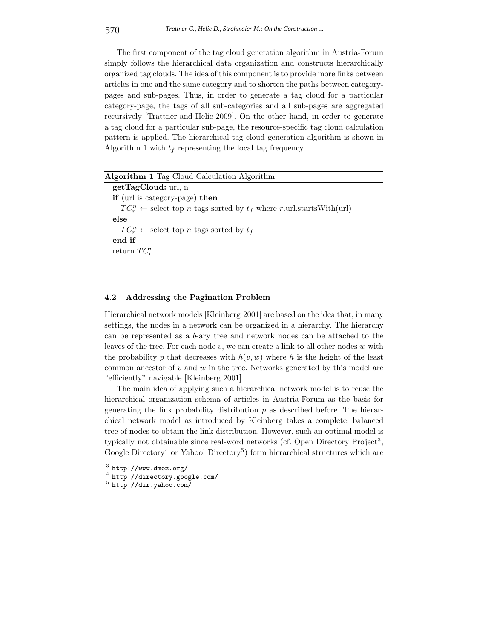The first component of the tag cloud generation algorithm in Austria-Forum simply follows the hierarchical data organization and constructs hierarchically organized tag clouds. The idea of this component is to provide more links between articles in one and the same category and to shorten the paths between categorypages and sub-pages. Thus, in order to generate a tag cloud for a particular category-page, the tags of all sub-categories and all sub-pages are aggregated recursively [Trattner and Helic 2009]. On the other hand, in order to generate a tag cloud for a particular sub-page, the resource-specific tag cloud calculation pattern is applied. The hierarchical tag cloud generation algorithm is shown in Algorithm 1 with  $t_f$  representing the local tag frequency.

| <b>Algorithm 1</b> Tag Cloud Calculation Algorithm                                               |
|--------------------------------------------------------------------------------------------------|
| getTagCloud: url. n                                                                              |
| <b>if</b> (url is category-page) then                                                            |
| $TC_r^n \leftarrow$ select top <i>n</i> tags sorted by $t_f$ where <i>r</i> .url.startsWith(url) |
| else                                                                                             |
| $TC_r^n \leftarrow$ select top <i>n</i> tags sorted by $t_f$                                     |
| end if                                                                                           |
| return $TC_r^n$                                                                                  |
|                                                                                                  |

#### **4.2 Addressing the Pagination Problem**

Hierarchical network models [Kleinberg 2001] are based on the idea that, in many settings, the nodes in a network can be organized in a hierarchy. The hierarchy can be represented as a *b*-ary tree and network nodes can be attached to the leaves of the tree. For each node *v*, we can create a link to all other nodes *w* with the probability p that decreases with  $h(v, w)$  where h is the height of the least common ancestor of *v* and *w* in the tree. Networks generated by this model are "efficiently" navigable [Kleinberg 2001].

The main idea of applying such a hierarchical network model is to reuse the hierarchical organization schema of articles in Austria-Forum as the basis for generating the link probability distribution *p* as described before. The hierarchical network model as introduced by Kleinberg takes a complete, balanced tree of nodes to obtain the link distribution. However, such an optimal model is typically not obtainable since real-word networks (cf. Open Directory Project<sup>3</sup>, Google Directory<sup>4</sup> or Yahoo! Directory<sup>5</sup>) form hierarchical structures which are

 $3$  http://www.dmoz.org/<br> $4$  http://directory.google.com/<br> $5$  http://dir.yahoo.com/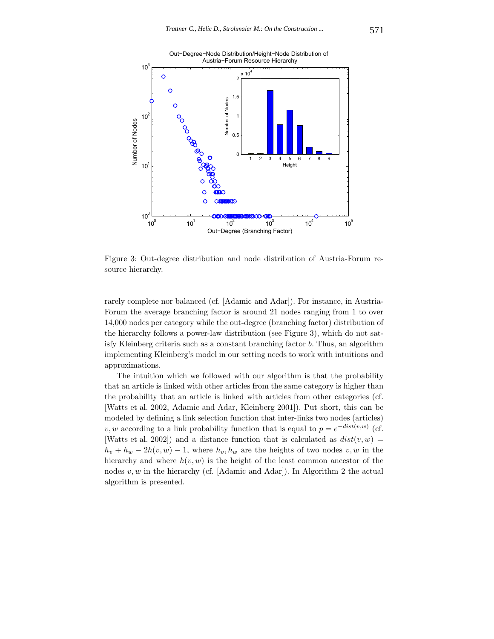

Figure 3: Out-degree distribution and node distribution of Austria-Forum resource hierarchy.

rarely complete nor balanced (cf. [Adamic and Adar]). For instance, in Austria-Forum the average branching factor is around 21 nodes ranging from 1 to over 14,000 nodes per category while the out-degree (branching factor) distribution of the hierarchy follows a power-law distribution (see Figure 3), which do not satisfy Kleinberg criteria such as a constant branching factor *b*. Thus, an algorithm implementing Kleinberg's model in our setting needs to work with intuitions and approximations.

The intuition which we followed with our algorithm is that the probability that an article is linked with other articles from the same category is higher than the probability that an article is linked with articles from other categories (cf. [Watts et al. 2002, Adamic and Adar, Kleinberg 2001]). Put short, this can be modeled by defining a link selection function that inter-links two nodes (articles) *v, w* according to a link probability function that is equal to  $p = e^{-dist(v,w)}$  (cf. [Watts et al. 2002]) and a distance function that is calculated as  $dist(v, w)$  =  $h_v + h_w - 2h(v, w) - 1$ , where  $h_v, h_w$  are the heights of two nodes  $v, w$  in the hierarchy and where  $h(v, w)$  is the height of the least common ancestor of the nodes *v, w* in the hierarchy (cf. [Adamic and Adar]). In Algorithm 2 the actual algorithm is presented.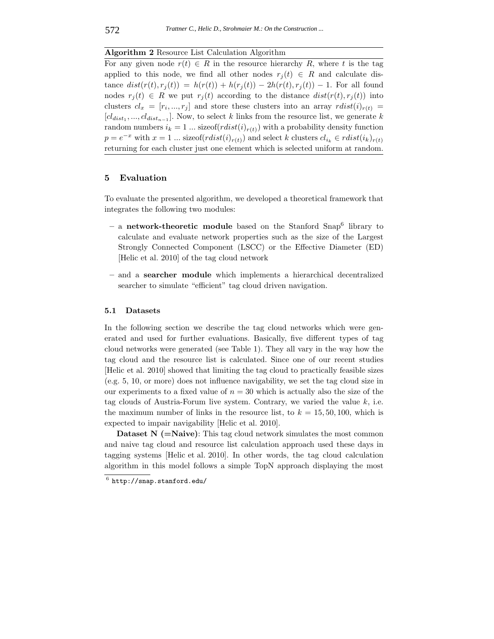**Algorithm 2** Resource List Calculation Algorithm

For any given node  $r(t) \in R$  in the resource hierarchy R, where t is the tag applied to this node, we find all other nodes  $r_i(t) \in R$  and calculate dis $t \text{ance } dist(r(t), r_i(t)) = h(r(t)) + h(r_i(t)) - 2h(r(t), r_i(t)) - 1.$  For all found nodes  $r_i(t) \in R$  we put  $r_i(t)$  according to the distance  $dist(r(t), r_i(t))$  into clusters  $cl_x = [r_i, ..., r_j]$  and store these clusters into an array  $rdist(i)_{r(t)} =$  $[cl_{dist_1}, ..., cl_{dist_{n-1}}]$ . Now, to select *k* links from the resource list, we generate *k* random numbers  $i_k = 1$  ... size of  $(rlist(i)_{r(t)})$  with a probability density function  $p = e^{-x}$  with  $x = 1$  ... sizeof( $rdist(i)_{r(t)}$ ) and select *k* clusters  $cl_{i_k} \in rdist(i_k)_{r(t)}$ returning for each cluster just one element which is selected uniform at random.

### **5 Evaluation**

To evaluate the presented algorithm, we developed a theoretical framework that integrates the following two modules:

- **–** a **network-theoretic module** based on the Stanford Snap<sup>6</sup> library to calculate and evaluate network properties such as the size of the Largest Strongly Connected Component (LSCC) or the Effective Diameter (ED) [Helic et al. 2010] of the tag cloud network
- **–** and a **searcher module** which implements a hierarchical decentralized searcher to simulate "efficient" tag cloud driven navigation.

#### **5.1 Datasets**

In the following section we describe the tag cloud networks which were generated and used for further evaluations. Basically, five different types of tag cloud networks were generated (see Table 1). They all vary in the way how the tag cloud and the resource list is calculated. Since one of our recent studies [Helic et al. 2010] showed that limiting the tag cloud to practically feasible sizes (e.g. 5, 10, or more) does not influence navigability, we set the tag cloud size in our experiments to a fixed value of  $n = 30$  which is actually also the size of the tag clouds of Austria-Forum live system. Contrary, we varied the value *k*, i.e. the maximum number of links in the resource list, to  $k = 15, 50, 100$ , which is expected to impair navigability [Helic et al. 2010].

**Dataset N (=Naive)**: This tag cloud network simulates the most common and naive tag cloud and resource list calculation approach used these days in tagging systems [Helic et al. 2010]. In other words, the tag cloud calculation algorithm in this model follows a simple TopN approach displaying the most

 $6$  http://snap.stanford.edu/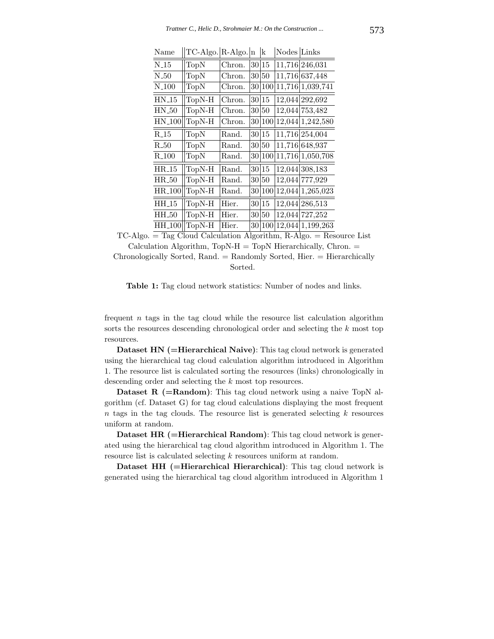| Name               | TC-Algo. R-Algo. |        | In              | k          | Nodes Links |                    |
|--------------------|------------------|--------|-----------------|------------|-------------|--------------------|
| $N_{-15}$          | TopN             | Chron. | 30              | 15         |             | 11,716 246,031     |
| $N_{-}50$          | TopN             | Chron. | 30 <sup>°</sup> | $50\,$     |             | 11,716 637,448     |
| $N_{-}100$         | TopN             | Chron. | 30              | 100        |             | 11,716 1,039,741   |
| $HN_15$            | TopN-H           | Chron. | 30              | 15         |             | 12,044 292,692     |
| $HN_50$            | TopN-H           | Chron. | 30              | $50\,$     |             | 12,044 753,482     |
| $HN_100$           | TopN-H           | Chron. | 30              | 100        |             | 12,044 1,242,580   |
| $R_{-15}$          | TopN             | Rand.  | 30              | 15         |             | 11,716 254,004     |
| $R_{-}50$          | TopN             | Rand.  | 30              | $50\,$     |             | 11,716 648,937     |
| $R_{100}$          | TopN             | Rand.  | 30              | 100        |             | 11,716 1,050,708   |
| $HR_15$            | TopN-H           | Rand.  | 30              | 15         |             | 12,044 308,183     |
| $HR_50$            | TopN-H           | Rand.  | 30              | 50         |             | 12,044 777,929     |
| HR <sub>-100</sub> | TopN-H           | Rand.  | 30              | 100        |             | $12,044$ 1,265,023 |
| $HH_15$            | TopN-H           | Hier.  |                 | 30 15      |             | 12,044 286,513     |
| HH_50              | TopN-H           | Hier.  | 30              | 50         |             | 12,044 727,252     |
| HH <sub>-100</sub> | TopN-H           | Hier.  | 30              | <b>100</b> |             | $12,044$ 1,199,263 |

 $\lim_{\alpha \to 1}$   $\lim_{\alpha \to 1}$   $\lim_{\alpha \to 1}$   $\lim_{\alpha \to 1}$   $\lim_{\alpha \to 1}$ 

 $TC\text{-}Algo. = Tag Cloud Calculation Algorithm, R-Algo. = Resource List$  $Calculation$  Algorithm,  $TopN-H = TopN$  Hierarchically, Chron.  $=$ Chronologically Sorted, Rand. = Randomly Sorted, Hier. = Hierarchically

Sorted.

**Table 1:** Tag cloud network statistics: Number of nodes and links.

frequent *n* tags in the tag cloud while the resource list calculation algorithm sorts the resources descending chronological order and selecting the *k* most top resources.

**Dataset HN (=Hierarchical Naive)**: This tag cloud network is generated using the hierarchical tag cloud calculation algorithm introduced in Algorithm 1. The resource list is calculated sorting the resources (links) chronologically in descending order and selecting the *k* most top resources.

**Dataset R (=Random)**: This tag cloud network using a naive TopN algorithm (cf. Dataset G) for tag cloud calculations displaying the most frequent *n* tags in the tag clouds. The resource list is generated selecting *k* resources uniform at random.

**Dataset HR (=Hierarchical Random)**: This tag cloud network is generated using the hierarchical tag cloud algorithm introduced in Algorithm 1. The resource list is calculated selecting *k* resources uniform at random.

**Dataset HH (=Hierarchical Hierarchical)**: This tag cloud network is generated using the hierarchical tag cloud algorithm introduced in Algorithm 1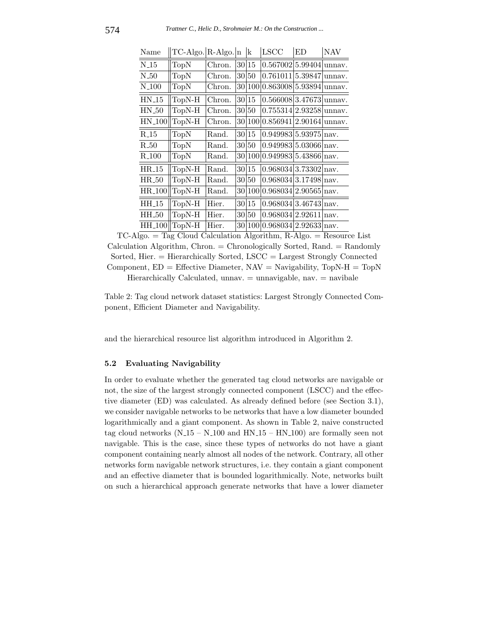| Name              | TC-Algo. R-Algo. n |        |     | k      | LSCC                              | ED. | NAV    |
|-------------------|--------------------|--------|-----|--------|-----------------------------------|-----|--------|
| N <sub>-15</sub>  | TopN               | Chron. |     | 30 15  | $0.567002 5.99404 $ unnav.        |     |        |
| $N_50$            | TopN               | Chron. |     | 30 50  | $0.761011 5.39847 $ unnav.        |     |        |
| $N_{-}100$        | TopN               | Chron. |     | 30 100 | $0.863008 5.93894 $ unnav.        |     |        |
| $HN_15$           | TopN-H             | Chron. |     | 30 15  | 0.566008 3.47673                  |     | unnav. |
| $HN_50$           | TopN-H             | Chron. |     | 30 50  | $0.755314 2.93258 $ unnav.        |     |        |
| <b>HN_100</b>     | TopN-H             | Chron. |     | 30 100 | $0.856941 2.90164 $ unnav.        |     |        |
| $R_{-15}$         | <b>TopN</b>        | Rand.  |     | 30 15  | 0.949983 5.93975  <sub>nav.</sub> |     |        |
| $R_{-}50$         | TopN               | Rand.  |     | 30 50  | 0.949983 5.03066 nav.             |     |        |
| R <sub>-100</sub> | TopN               | Rand.  |     | 30 100 | $0.949983 5.43866 n$ av.          |     |        |
| $HR_15$           | TopN-H             | Rand.  |     | 30 15  | 0.968034 3.73302 nav.             |     |        |
| $HR_50$           | TopN-H             | Rand.  |     | 30 50  | $0.968034 3.17498 n$ av.          |     |        |
| <b>HR_100</b>     | TopN-H             | Rand.  |     | 30 100 | 0.968034 2.90565  <sub>nav.</sub> |     |        |
| $HH_15$           | TopN-H             | Hier.  |     | 30 15  | 0.968034 3.46743  <sub>nav.</sub> |     |        |
| HH <sub>-50</sub> | TopN-H             | Hier.  | 301 | 50     | 0.968034 2.92611 nav.             |     |        |
| <b>HH_100</b>     | $ TopN-H $         | Hier.  |     |        | $30 100 0.968034 2.92633 nav.$    |     |        |

 $\lim_{\Omega \to 0}$   $\lim_{\Omega \to 0}$   $\lim_{\Omega \to 0}$   $\lim_{\Omega \to 0}$   $\lim_{\Omega \to 0}$ 

 $TC\text{-}Algo. = Tag Cloud Calculation Algorithm, R-Algo. = Resource List$  $Calculation Algorithm, Chrom. = Chromologically Sorted, Rand. = Randomly$ Sorted, Hier. = Hierarchically Sorted, LSCC = Largest Strongly Connected Component,  $ED = Effective Diameter, NAV = Navigability, TopN-H = TopN$ Hierarchically Calculated, unnav. = unnavigable, nav. = navibale

Table 2: Tag cloud network dataset statistics: Largest Strongly Connected Component, Efficient Diameter and Navigability.

and the hierarchical resource list algorithm introduced in Algorithm 2.

#### **5.2 Evaluating Navigability**

In order to evaluate whether the generated tag cloud networks are navigable or not, the size of the largest strongly connected component (LSCC) and the effective diameter (ED) was calculated. As already defined before (see Section 3.1), we consider navigable networks to be networks that have a low diameter bounded logarithmically and a giant component. As shown in Table 2, naive constructed tag cloud networks  $(N_115 - N_100$  and  $HN_115 - HN_100$  are formally seen not navigable. This is the case, since these types of networks do not have a giant component containing nearly almost all nodes of the network. Contrary, all other networks form navigable network structures, i.e. they contain a giant component and an effective diameter that is bounded logarithmically. Note, networks built on such a hierarchical approach generate networks that have a lower diameter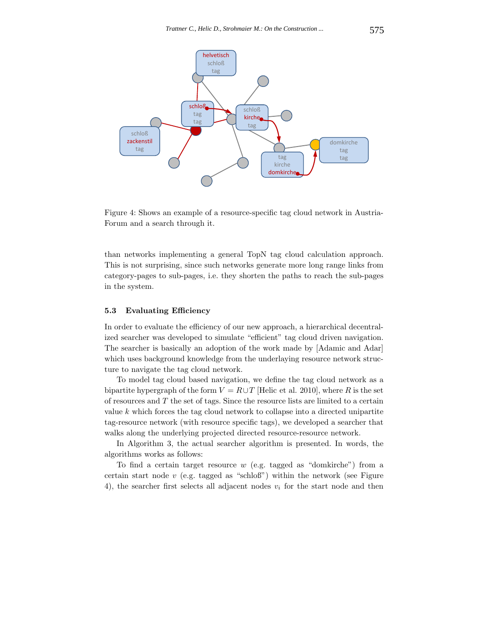

Figure 4: Shows an example of a resource-specific tag cloud network in Austria-Forum and a search through it.

than networks implementing a general TopN tag cloud calculation approach. This is not surprising, since such networks generate more long range links from category-pages to sub-pages, i.e. they shorten the paths to reach the sub-pages in the system.

#### **5.3 Evaluating Efficiency**

In order to evaluate the efficiency of our new approach, a hierarchical decentralized searcher was developed to simulate "efficient" tag cloud driven navigation. The searcher is basically an adoption of the work made by [Adamic and Adar] which uses background knowledge from the underlaying resource network structure to navigate the tag cloud network.

To model tag cloud based navigation, we define the tag cloud network as a bipartite hypergraph of the form  $V = R \cup T$  [Helic et al. 2010], where *R* is the set of resources and *T* the set of tags. Since the resource lists are limited to a certain value *k* which forces the tag cloud network to collapse into a directed unipartite tag-resource network (with resource specific tags), we developed a searcher that walks along the underlying projected directed resource-resource network.

In Algorithm 3, the actual searcher algorithm is presented. In words, the algorithms works as follows:

To find a certain target resource *w* (e.g. tagged as "domkirche") from a certain start node *v* (e.g. tagged as "schloß") within the network (see Figure 4), the searcher first selects all adjacent nodes *v<sup>i</sup>* for the start node and then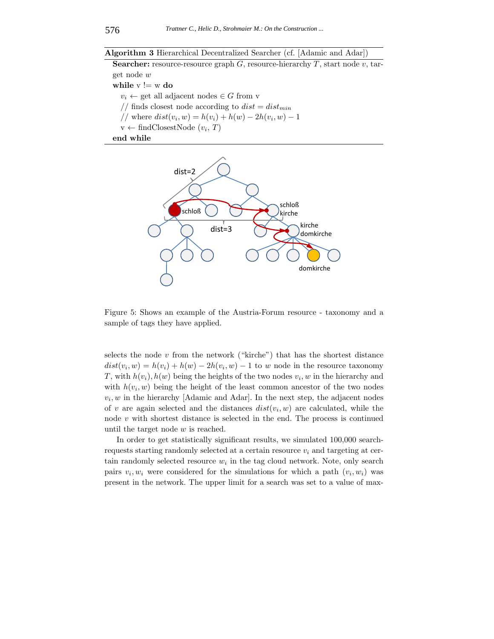**Algorithm 3** Hierarchical Decentralized Searcher (cf. [Adamic and Adar])

**Searcher:** resource-resource graph *G*, resource-hierarchy *T*, start node *v*, target node *w* **while**  $v = w$  **do**  $v_i \leftarrow$  get all adjacent nodes  $\in G$  from v // finds closest node according to  $dist = dist_{min}$  $//$  where  $dist(v_i, w) = h(v_i) + h(w) - 2h(v_i, w) - 1$  $v \leftarrow \text{findClose} (v_i, T)$ **end while**



Figure 5: Shows an example of the Austria-Forum resource - taxonomy and a sample of tags they have applied.

selects the node  $v$  from the network ("kirche") that has the shortest distance  $dist(v_i, w) = h(v_i) + h(w) - 2h(v_i, w) - 1$  to *w* node in the resource taxonomy *T*, with  $h(v_i)$ ,  $h(w)$  being the heights of the two nodes  $v_i$ , w in the hierarchy and with  $h(v_i, w)$  being the height of the least common ancestor of the two nodes  $v_i, w$  in the hierarchy [Adamic and Adar]. In the next step, the adjacent nodes of *v* are again selected and the distances  $dist(v_i, w)$  are calculated, while the node *v* with shortest distance is selected in the end. The process is continued until the target node *w* is reached.

In order to get statistically significant results, we simulated 100,000 searchrequests starting randomly selected at a certain resource  $v_i$  and targeting at certain randomly selected resource  $w_i$  in the tag cloud network. Note, only search pairs  $v_i, w_i$  were considered for the simulations for which a path  $(v_i, w_i)$  was present in the network. The upper limit for a search was set to a value of max-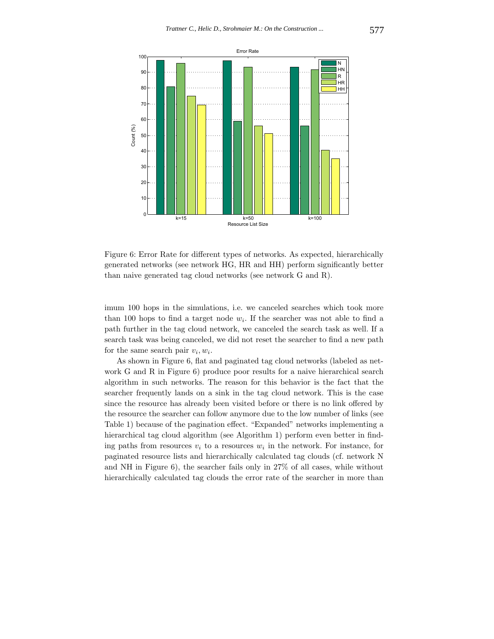

Figure 6: Error Rate for different types of networks. As expected, hierarchically generated networks (see network HG, HR and HH) perform significantly better than naive generated tag cloud networks (see network G and R).

imum 100 hops in the simulations, i.e. we canceled searches which took more than 100 hops to find a target node  $w_i$ . If the searcher was not able to find a path further in the tag cloud network, we canceled the search task as well. If a search task was being canceled, we did not reset the searcher to find a new path for the same search pair  $v_i, w_i$ .

As shown in Figure 6, flat and paginated tag cloud networks (labeled as network G and R in Figure 6) produce poor results for a naive hierarchical search algorithm in such networks. The reason for this behavior is the fact that the searcher frequently lands on a sink in the tag cloud network. This is the case since the resource has already been visited before or there is no link offered by the resource the searcher can follow anymore due to the low number of links (see Table 1) because of the pagination effect. "Expanded" networks implementing a hierarchical tag cloud algorithm (see Algorithm 1) perform even better in finding paths from resources  $v_i$  to a resources  $w_i$  in the network. For instance, for paginated resource lists and hierarchically calculated tag clouds (cf. network N and NH in Figure 6), the searcher fails only in 27% of all cases, while without hierarchically calculated tag clouds the error rate of the searcher in more than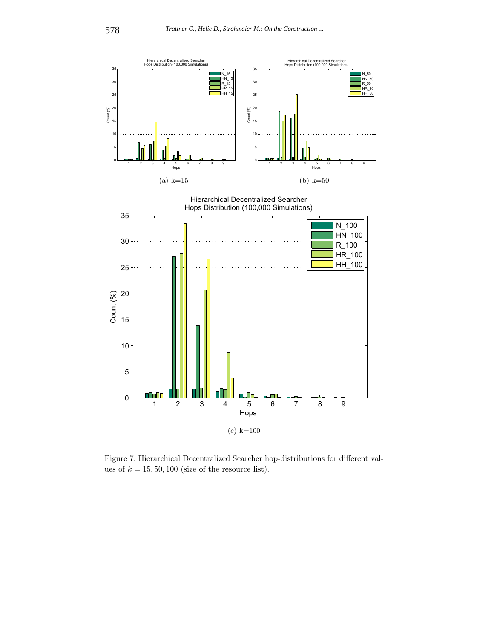

Figure 7: Hierarchical Decentralized Searcher hop-distributions for different values of  $k = 15, 50, 100$  (size of the resource list).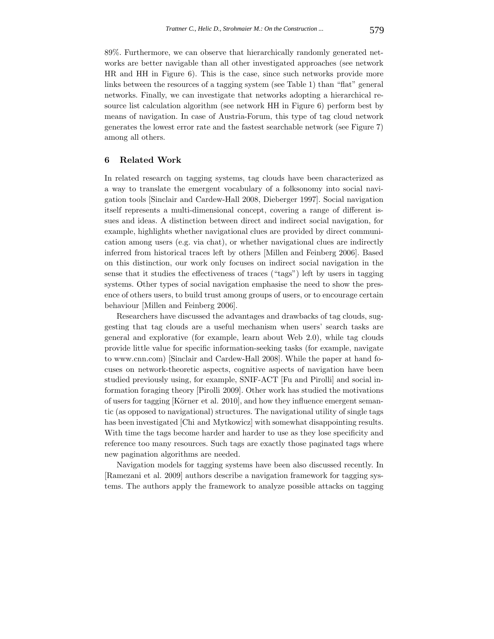89%. Furthermore, we can observe that hierarchically randomly generated networks are better navigable than all other investigated approaches (see network HR and HH in Figure 6). This is the case, since such networks provide more links between the resources of a tagging system (see Table 1) than "flat" general networks. Finally, we can investigate that networks adopting a hierarchical resource list calculation algorithm (see network HH in Figure 6) perform best by means of navigation. In case of Austria-Forum, this type of tag cloud network generates the lowest error rate and the fastest searchable network (see Figure 7) among all others.

# **6 Related Work**

In related research on tagging systems, tag clouds have been characterized as a way to translate the emergent vocabulary of a folksonomy into social navigation tools [Sinclair and Cardew-Hall 2008, Dieberger 1997]. Social navigation itself represents a multi-dimensional concept, covering a range of different issues and ideas. A distinction between direct and indirect social navigation, for example, highlights whether navigational clues are provided by direct communication among users (e.g. via chat), or whether navigational clues are indirectly inferred from historical traces left by others [Millen and Feinberg 2006]. Based on this distinction, our work only focuses on indirect social navigation in the sense that it studies the effectiveness of traces ("tags") left by users in tagging systems. Other types of social navigation emphasise the need to show the presence of others users, to build trust among groups of users, or to encourage certain behaviour [Millen and Feinberg 2006].

Researchers have discussed the advantages and drawbacks of tag clouds, suggesting that tag clouds are a useful mechanism when users' search tasks are general and explorative (for example, learn about Web 2.0), while tag clouds provide little value for specific information-seeking tasks (for example, navigate to www.cnn.com) [Sinclair and Cardew-Hall 2008]. While the paper at hand focuses on network-theoretic aspects, cognitive aspects of navigation have been studied previously using, for example, SNIF-ACT [Fu and Pirolli] and social information foraging theory [Pirolli 2009]. Other work has studied the motivations of users for tagging [Körner et al. 2010], and how they influence emergent semantic (as opposed to navigational) structures. The navigational utility of single tags has been investigated [Chi and Mytkowicz] with somewhat disappointing results. With time the tags become harder and harder to use as they lose specificity and reference too many resources. Such tags are exactly those paginated tags where new pagination algorithms are needed.

Navigation models for tagging systems have been also discussed recently. In [Ramezani et al. 2009] authors describe a navigation framework for tagging systems. The authors apply the framework to analyze possible attacks on tagging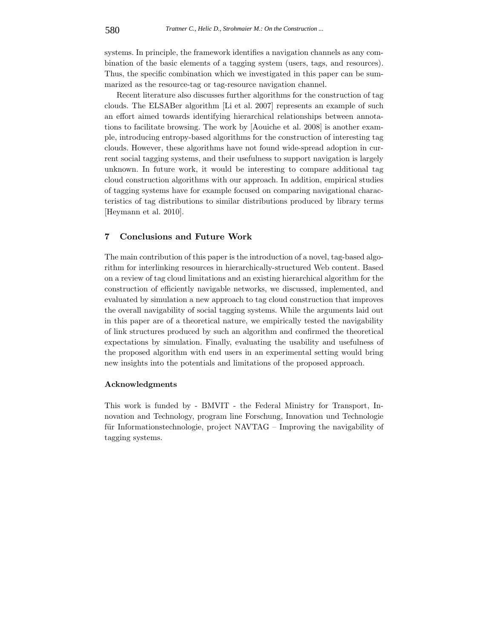systems. In principle, the framework identifies a navigation channels as any combination of the basic elements of a tagging system (users, tags, and resources). Thus, the specific combination which we investigated in this paper can be summarized as the resource-tag or tag-resource navigation channel.

Recent literature also discusses further algorithms for the construction of tag clouds. The ELSABer algorithm [Li et al. 2007] represents an example of such an effort aimed towards identifying hierarchical relationships between annotations to facilitate browsing. The work by [Aouiche et al. 2008] is another example, introducing entropy-based algorithms for the construction of interesting tag clouds. However, these algorithms have not found wide-spread adoption in current social tagging systems, and their usefulness to support navigation is largely unknown. In future work, it would be interesting to compare additional tag cloud construction algorithms with our approach. In addition, empirical studies of tagging systems have for example focused on comparing navigational characteristics of tag distributions to similar distributions produced by library terms [Heymann et al. 2010].

## **7 Conclusions and Future Work**

The main contribution of this paper is the introduction of a novel, tag-based algorithm for interlinking resources in hierarchically-structured Web content. Based on a review of tag cloud limitations and an existing hierarchical algorithm for the construction of efficiently navigable networks, we discussed, implemented, and evaluated by simulation a new approach to tag cloud construction that improves the overall navigability of social tagging systems. While the arguments laid out in this paper are of a theoretical nature, we empirically tested the navigability of link structures produced by such an algorithm and confirmed the theoretical expectations by simulation. Finally, evaluating the usability and usefulness of the proposed algorithm with end users in an experimental setting would bring new insights into the potentials and limitations of the proposed approach.

#### **Acknowledgments**

This work is funded by - BMVIT - the Federal Ministry for Transport, Innovation and Technology, program line Forschung, Innovation und Technologie für Informationstechnologie, project NAVTAG – Improving the navigability of tagging systems.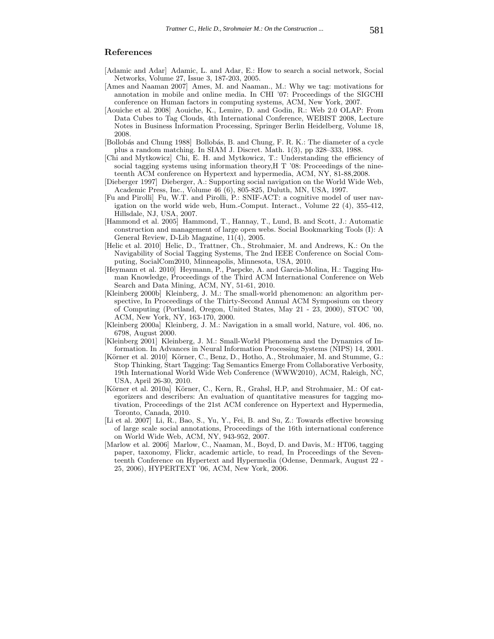#### **References**

- [Adamic and Adar] Adamic, L. and Adar, E.: How to search a social network, Social Networks, Volume 27, Issue 3, 187-203, 2005.
- [Ames and Naaman 2007] Ames, M. and Naaman., M.: Why we tag: motivations for annotation in mobile and online media. In CHI '07: Proceedings of the SIGCHI conference on Human factors in computing systems, ACM, New York, 2007.
- [Aouiche et al. 2008] Aouiche, K., Lemire, D. and Godin, R.: Web 2.0 OLAP: From Data Cubes to Tag Clouds, 4th International Conference, WEBIST 2008, Lecture Notes in Business Information Processing, Springer Berlin Heidelberg, Volume 18, 2008.
- [Bollobás and Chung 1988] Bollobás, B. and Chung, F. R. K.: The diameter of a cycle plus a random matching. In SIAM J. Discret. Math. 1(3), pp 328–333, 1988.
- [Chi and Mytkowicz] Chi, E. H. and Mytkowicz, T.: Understanding the efficiency of social tagging systems using information theory,H T '08: Proceedings of the nineteenth ACM conference on Hypertext and hypermedia, ACM, NY, 81-88,2008.
- [Dieberger 1997] Dieberger, A.: Supporting social navigation on the World Wide Web, Academic Press, Inc., Volume 46 (6), 805-825, Duluth, MN, USA, 1997.
- [Fu and Pirolli] Fu, W.T. and Pirolli, P.: SNIF-ACT: a cognitive model of user navigation on the world wide web, Hum.-Comput. Interact., Volume 22 (4), 355-412, Hillsdale, NJ, USA, 2007.
- [Hammond et al. 2005] Hammond, T., Hannay, T., Lund, B. and Scott, J.: Automatic construction and management of large open webs. Social Bookmarking Tools (I): A General Review, D-Lib Magazine, 11(4), 2005.
- [Helic et al. 2010] Helic, D., Trattner, Ch., Strohmaier, M. and Andrews, K.: On the Navigability of Social Tagging Systems, The 2nd IEEE Conference on Social Computing, SocialCom2010, Minneapolis, Minnesota, USA, 2010.
- [Heymann et al. 2010] Heymann, P., Paepcke, A. and Garcia-Molina, H.: Tagging Human Knowledge, Proceedings of the Third ACM International Conference on Web Search and Data Mining, ACM, NY, 51-61, 2010.
- [Kleinberg 2000b] Kleinberg, J. M.: The small-world phenomenon: an algorithm perspective, In Proceedings of the Thirty-Second Annual ACM Symposium on theory of Computing (Portland, Oregon, United States, May 21 - 23, 2000), STOC '00, ACM, New York, NY, 163-170, 2000.
- [Kleinberg 2000a] Kleinberg, J. M.: Navigation in a small world, Nature, vol. 406, no. 6798, August 2000.
- [Kleinberg 2001] Kleinberg, J. M.: Small-World Phenomena and the Dynamics of Information. In Advances in Neural Information Processing Systems (NIPS) 14, 2001.
- [Körner et al. 2010] Körner, C., Benz, D., Hotho, A., Strohmaier, M. and Stumme, G.: Stop Thinking, Start Tagging: Tag Semantics Emerge From Collaborative Verbosity, 19th International World Wide Web Conference (WWW2010), ACM, Raleigh, NC, USA, April 26-30, 2010.
- [Körner et al. 2010a] Körner, C., Kern, R., Grahsl, H.P, and Strohmaier, M.: Of categorizers and describers: An evaluation of quantitative measures for tagging motivation, Proceedings of the 21st ACM conference on Hypertext and Hypermedia, Toronto, Canada, 2010.
- [Li et al. 2007] Li, R., Bao, S., Yu, Y., Fei, B. and Su, Z.: Towards effective browsing of large scale social annotations, Proceedings of the 16th international conference on World Wide Web, ACM, NY, 943-952, 2007.
- [Marlow et al. 2006] Marlow, C., Naaman, M., Boyd, D. and Davis, M.: HT06, tagging paper, taxonomy, Flickr, academic article, to read, In Proceedings of the Seventeenth Conference on Hypertext and Hypermedia (Odense, Denmark, August 22 - 25, 2006), HYPERTEXT '06, ACM, New York, 2006.